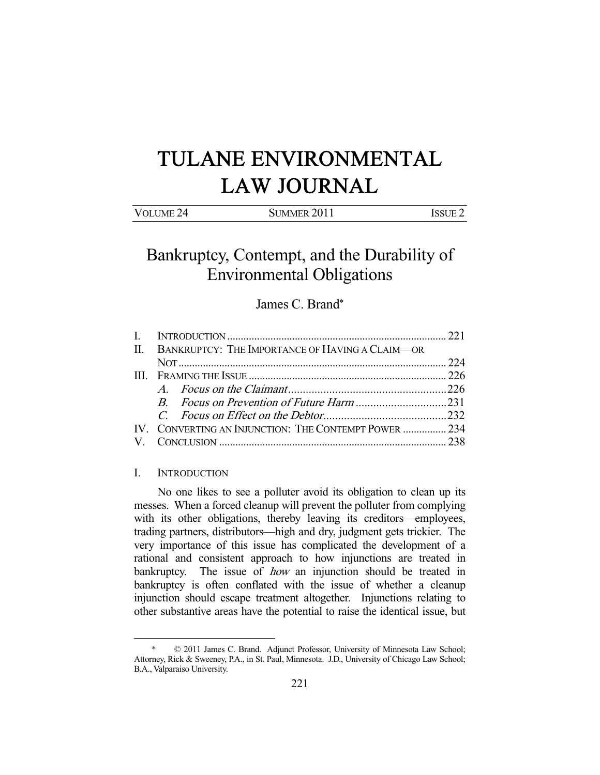# TULANE ENVIRONMENTAL LAW JOURNAL

| VOLUME <sub>24</sub> | SUMMER 2011 | ISSUE ' |
|----------------------|-------------|---------|
|                      |             |         |

# Bankruptcy, Contempt, and the Durability of Environmental Obligations

# James C. Brand\*

| II. BANKRUPTCY: THE IMPORTANCE OF HAVING A CLAIM-OR   |  |
|-------------------------------------------------------|--|
|                                                       |  |
|                                                       |  |
|                                                       |  |
|                                                       |  |
|                                                       |  |
| IV. CONVERTING AN INJUNCTION: THE CONTEMPT POWER  234 |  |
|                                                       |  |

# I. INTRODUCTION

-

 No one likes to see a polluter avoid its obligation to clean up its messes. When a forced cleanup will prevent the polluter from complying with its other obligations, thereby leaving its creditors—employees, trading partners, distributors—high and dry, judgment gets trickier. The very importance of this issue has complicated the development of a rational and consistent approach to how injunctions are treated in bankruptcy. The issue of *how* an injunction should be treated in bankruptcy is often conflated with the issue of whether a cleanup injunction should escape treatment altogether. Injunctions relating to other substantive areas have the potential to raise the identical issue, but

 <sup>\* © 2011</sup> James C. Brand. Adjunct Professor, University of Minnesota Law School; Attorney, Rick & Sweeney, P.A., in St. Paul, Minnesota. J.D., University of Chicago Law School; B.A., Valparaiso University.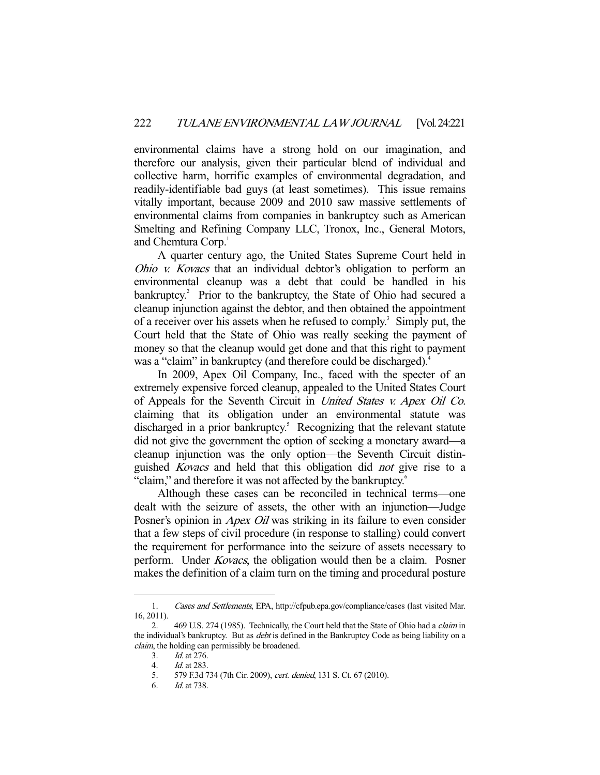environmental claims have a strong hold on our imagination, and therefore our analysis, given their particular blend of individual and collective harm, horrific examples of environmental degradation, and readily-identifiable bad guys (at least sometimes). This issue remains vitally important, because 2009 and 2010 saw massive settlements of environmental claims from companies in bankruptcy such as American Smelting and Refining Company LLC, Tronox, Inc., General Motors, and Chemtura Corp.<sup>1</sup>

 A quarter century ago, the United States Supreme Court held in Ohio v. Kovacs that an individual debtor's obligation to perform an environmental cleanup was a debt that could be handled in his bankruptcy.<sup>2</sup> Prior to the bankruptcy, the State of Ohio had secured a cleanup injunction against the debtor, and then obtained the appointment of a receiver over his assets when he refused to comply.<sup>3</sup> Simply put, the Court held that the State of Ohio was really seeking the payment of money so that the cleanup would get done and that this right to payment was a "claim" in bankruptcy (and therefore could be discharged).<sup>4</sup>

 In 2009, Apex Oil Company, Inc., faced with the specter of an extremely expensive forced cleanup, appealed to the United States Court of Appeals for the Seventh Circuit in United States v. Apex Oil Co. claiming that its obligation under an environmental statute was discharged in a prior bankruptcy.<sup>5</sup> Recognizing that the relevant statute did not give the government the option of seeking a monetary award—a cleanup injunction was the only option—the Seventh Circuit distinguished Kovacs and held that this obligation did not give rise to a "claim," and therefore it was not affected by the bankruptcy.<sup>6</sup>

 Although these cases can be reconciled in technical terms—one dealt with the seizure of assets, the other with an injunction—Judge Posner's opinion in *Apex Oil* was striking in its failure to even consider that a few steps of civil procedure (in response to stalling) could convert the requirement for performance into the seizure of assets necessary to perform. Under Kovacs, the obligation would then be a claim. Posner makes the definition of a claim turn on the timing and procedural posture

 <sup>1.</sup> Cases and Settlements, EPA, http://cfpub.epa.gov/compliance/cases (last visited Mar. 16, 2011).

 <sup>2. 469</sup> U.S. 274 (1985). Technically, the Court held that the State of Ohio had a claim in the individual's bankruptcy. But as *debt* is defined in the Bankruptcy Code as being liability on a claim, the holding can permissibly be broadened.

 <sup>3.</sup> Id. at 276.

<sup>4.</sup> *Id.* at 283.<br>5. 579 F.3d

<sup>579</sup> F.3d 734 (7th Cir. 2009), cert. denied, 131 S. Ct. 67 (2010).

 <sup>6.</sup> Id. at 738.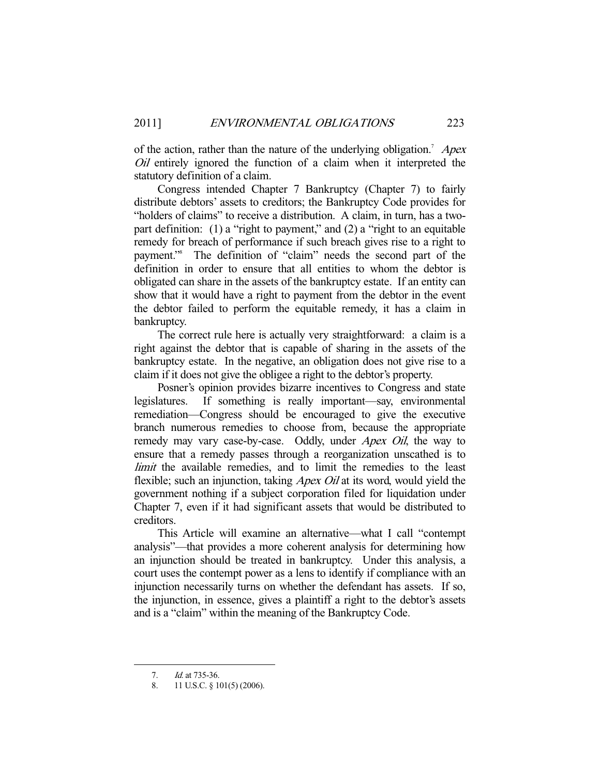of the action, rather than the nature of the underlying obligation.<sup>7</sup> Apex Oil entirely ignored the function of a claim when it interpreted the statutory definition of a claim.

 Congress intended Chapter 7 Bankruptcy (Chapter 7) to fairly distribute debtors' assets to creditors; the Bankruptcy Code provides for "holders of claims" to receive a distribution. A claim, in turn, has a twopart definition: (1) a "right to payment," and (2) a "right to an equitable remedy for breach of performance if such breach gives rise to a right to payment."8 The definition of "claim" needs the second part of the definition in order to ensure that all entities to whom the debtor is obligated can share in the assets of the bankruptcy estate. If an entity can show that it would have a right to payment from the debtor in the event the debtor failed to perform the equitable remedy, it has a claim in bankruptcy.

 The correct rule here is actually very straightforward: a claim is a right against the debtor that is capable of sharing in the assets of the bankruptcy estate. In the negative, an obligation does not give rise to a claim if it does not give the obligee a right to the debtor's property.

 Posner's opinion provides bizarre incentives to Congress and state legislatures. If something is really important—say, environmental remediation—Congress should be encouraged to give the executive branch numerous remedies to choose from, because the appropriate remedy may vary case-by-case. Oddly, under *Apex Oil*, the way to ensure that a remedy passes through a reorganization unscathed is to *limit* the available remedies, and to limit the remedies to the least flexible; such an injunction, taking *Apex Oil* at its word, would yield the government nothing if a subject corporation filed for liquidation under Chapter 7, even if it had significant assets that would be distributed to creditors.

 This Article will examine an alternative—what I call "contempt analysis"—that provides a more coherent analysis for determining how an injunction should be treated in bankruptcy. Under this analysis, a court uses the contempt power as a lens to identify if compliance with an injunction necessarily turns on whether the defendant has assets. If so, the injunction, in essence, gives a plaintiff a right to the debtor's assets and is a "claim" within the meaning of the Bankruptcy Code.

<sup>7.</sup> *Id.* at 735-36.

 <sup>8. 11</sup> U.S.C. § 101(5) (2006).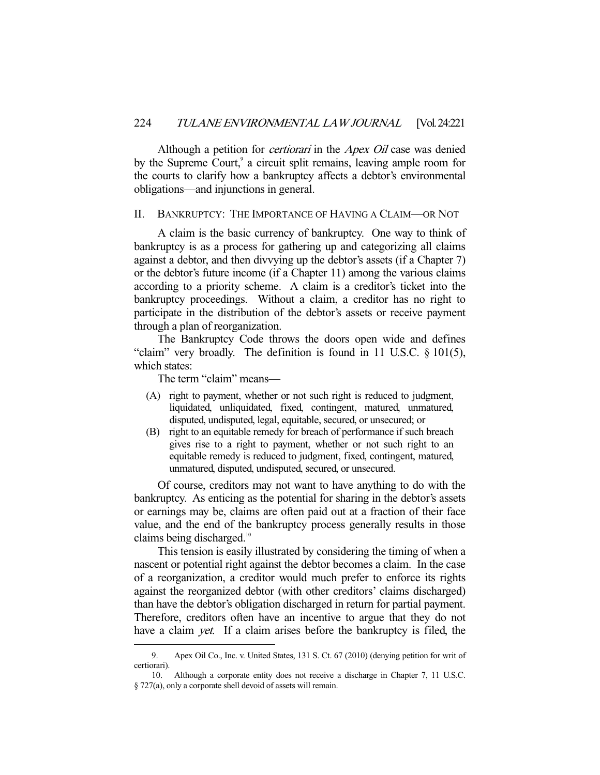Although a petition for *certiorari* in the *Apex Oil* case was denied by the Supreme Court,<sup>9</sup> a circuit split remains, leaving ample room for the courts to clarify how a bankruptcy affects a debtor's environmental obligations—and injunctions in general.

# II. BANKRUPTCY: THE IMPORTANCE OF HAVING A CLAIM—OR NOT

 A claim is the basic currency of bankruptcy. One way to think of bankruptcy is as a process for gathering up and categorizing all claims against a debtor, and then divvying up the debtor's assets (if a Chapter 7) or the debtor's future income (if a Chapter 11) among the various claims according to a priority scheme. A claim is a creditor's ticket into the bankruptcy proceedings. Without a claim, a creditor has no right to participate in the distribution of the debtor's assets or receive payment through a plan of reorganization.

 The Bankruptcy Code throws the doors open wide and defines "claim" very broadly. The definition is found in 11 U.S.C. § 101(5), which states:

The term "claim" means—

-

- (A) right to payment, whether or not such right is reduced to judgment, liquidated, unliquidated, fixed, contingent, matured, unmatured, disputed, undisputed, legal, equitable, secured, or unsecured; or
- (B) right to an equitable remedy for breach of performance if such breach gives rise to a right to payment, whether or not such right to an equitable remedy is reduced to judgment, fixed, contingent, matured, unmatured, disputed, undisputed, secured, or unsecured.

 Of course, creditors may not want to have anything to do with the bankruptcy. As enticing as the potential for sharing in the debtor's assets or earnings may be, claims are often paid out at a fraction of their face value, and the end of the bankruptcy process generally results in those claims being discharged.<sup>10</sup>

 This tension is easily illustrated by considering the timing of when a nascent or potential right against the debtor becomes a claim. In the case of a reorganization, a creditor would much prefer to enforce its rights against the reorganized debtor (with other creditors' claims discharged) than have the debtor's obligation discharged in return for partial payment. Therefore, creditors often have an incentive to argue that they do not have a claim *yet*. If a claim arises before the bankruptcy is filed, the

 <sup>9.</sup> Apex Oil Co., Inc. v. United States, 131 S. Ct. 67 (2010) (denying petition for writ of certiorari).

 <sup>10.</sup> Although a corporate entity does not receive a discharge in Chapter 7, 11 U.S.C. § 727(a), only a corporate shell devoid of assets will remain.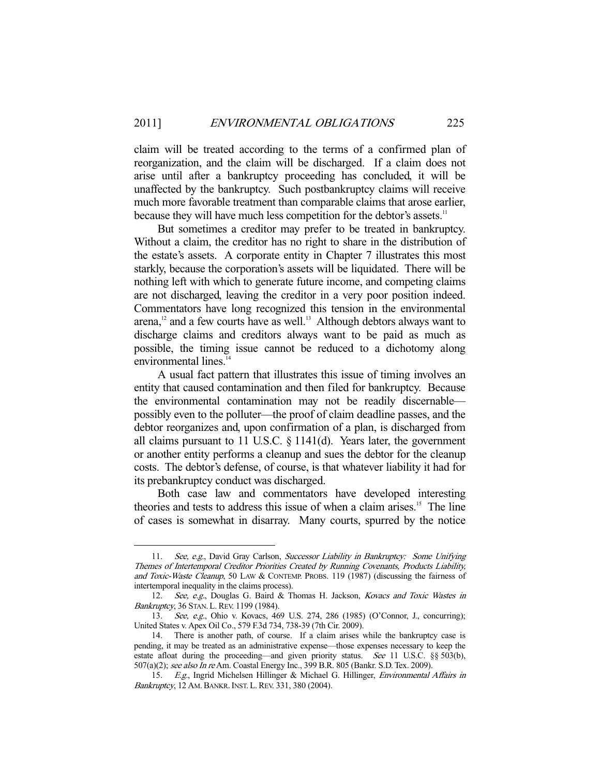claim will be treated according to the terms of a confirmed plan of reorganization, and the claim will be discharged. If a claim does not arise until after a bankruptcy proceeding has concluded, it will be unaffected by the bankruptcy. Such postbankruptcy claims will receive much more favorable treatment than comparable claims that arose earlier, because they will have much less competition for the debtor's assets.<sup>11</sup>

 But sometimes a creditor may prefer to be treated in bankruptcy. Without a claim, the creditor has no right to share in the distribution of the estate's assets. A corporate entity in Chapter 7 illustrates this most starkly, because the corporation's assets will be liquidated. There will be nothing left with which to generate future income, and competing claims are not discharged, leaving the creditor in a very poor position indeed. Commentators have long recognized this tension in the environmental arena, $^{12}$  and a few courts have as well.<sup>13</sup> Although debtors always want to discharge claims and creditors always want to be paid as much as possible, the timing issue cannot be reduced to a dichotomy along environmental lines.<sup>14</sup>

 A usual fact pattern that illustrates this issue of timing involves an entity that caused contamination and then filed for bankruptcy. Because the environmental contamination may not be readily discernable possibly even to the polluter—the proof of claim deadline passes, and the debtor reorganizes and, upon confirmation of a plan, is discharged from all claims pursuant to 11 U.S.C. § 1141(d). Years later, the government or another entity performs a cleanup and sues the debtor for the cleanup costs. The debtor's defense, of course, is that whatever liability it had for its prebankruptcy conduct was discharged.

 Both case law and commentators have developed interesting theories and tests to address this issue of when a claim arises.<sup>15</sup> The line of cases is somewhat in disarray. Many courts, spurred by the notice

<sup>11.</sup> See, e.g., David Gray Carlson, Successor Liability in Bankruptcy: Some Unifying Themes of Intertemporal Creditor Priorities Created by Running Covenants, Products Liability, and Toxic-Waste Cleanup, 50 LAW & CONTEMP. PROBS. 119 (1987) (discussing the fairness of intertemporal inequality in the claims process).

<sup>12.</sup> See, e.g., Douglas G. Baird & Thomas H. Jackson, Kovacs and Toxic Wastes in Bankruptcy, 36 STAN. L. REV. 1199 (1984).

 <sup>13.</sup> See, e.g., Ohio v. Kovacs, 469 U.S. 274, 286 (1985) (O'Connor, J., concurring); United States v. Apex Oil Co., 579 F.3d 734, 738-39 (7th Cir. 2009).

 <sup>14.</sup> There is another path, of course. If a claim arises while the bankruptcy case is pending, it may be treated as an administrative expense—those expenses necessary to keep the estate afloat during the proceeding—and given priority status. See 11 U.S.C. §§ 503(b), 507(a)(2); see also In re Am. Coastal Energy Inc., 399 B.R. 805 (Bankr. S.D. Tex. 2009).

<sup>15.</sup> E.g., Ingrid Michelsen Hillinger & Michael G. Hillinger, Environmental Affairs in Bankruptcy, 12 AM.BANKR.INST. L.REV. 331, 380 (2004).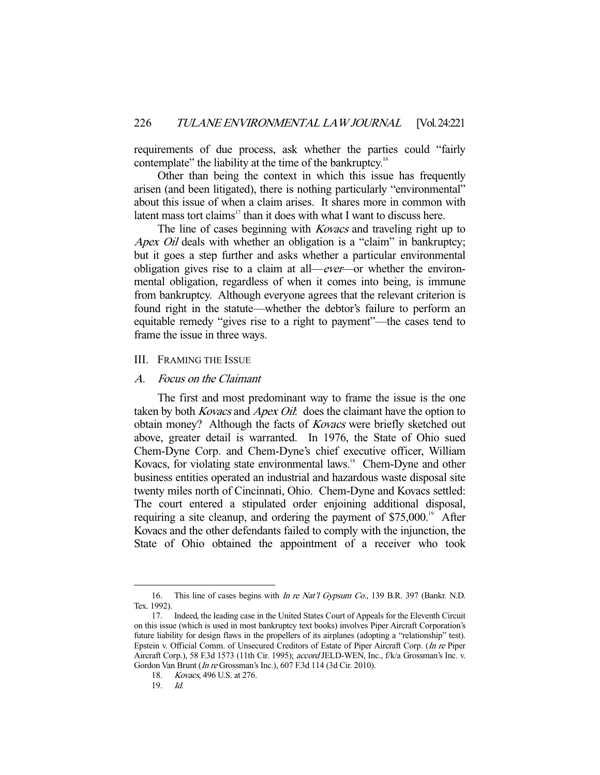requirements of due process, ask whether the parties could "fairly contemplate" the liability at the time of the bankruptcy.<sup>16</sup>

 Other than being the context in which this issue has frequently arisen (and been litigated), there is nothing particularly "environmental" about this issue of when a claim arises. It shares more in common with latent mass tort claims<sup>17</sup> than it does with what I want to discuss here.

The line of cases beginning with *Kovacs* and traveling right up to Apex Oil deals with whether an obligation is a "claim" in bankruptcy; but it goes a step further and asks whether a particular environmental obligation gives rise to a claim at all—ever—or whether the environmental obligation, regardless of when it comes into being, is immune from bankruptcy. Although everyone agrees that the relevant criterion is found right in the statute—whether the debtor's failure to perform an equitable remedy "gives rise to a right to payment"—the cases tend to frame the issue in three ways.

# III. FRAMING THE ISSUE

#### A. Focus on the Claimant

 The first and most predominant way to frame the issue is the one taken by both *Kovacs* and *Apex Oil*: does the claimant have the option to obtain money? Although the facts of Kovacs were briefly sketched out above, greater detail is warranted. In 1976, the State of Ohio sued Chem-Dyne Corp. and Chem-Dyne's chief executive officer, William Kovacs, for violating state environmental laws.<sup>18</sup> Chem-Dyne and other business entities operated an industrial and hazardous waste disposal site twenty miles north of Cincinnati, Ohio. Chem-Dyne and Kovacs settled: The court entered a stipulated order enjoining additional disposal, requiring a site cleanup, and ordering the payment of  $$75,000$ .<sup>19</sup> After Kovacs and the other defendants failed to comply with the injunction, the State of Ohio obtained the appointment of a receiver who took

<sup>16.</sup> This line of cases begins with *In re Nat'l Gypsum Co.*, 139 B.R. 397 (Bankr. N.D. Tex. 1992).

 <sup>17.</sup> Indeed, the leading case in the United States Court of Appeals for the Eleventh Circuit on this issue (which is used in most bankruptcy text books) involves Piper Aircraft Corporation's future liability for design flaws in the propellers of its airplanes (adopting a "relationship" test). Epstein v. Official Comm. of Unsecured Creditors of Estate of Piper Aircraft Corp. (In re Piper Aircraft Corp.), 58 F.3d 1573 (11th Cir. 1995); accord JELD-WEN, Inc., f/k/a Grossman's Inc. v. Gordon Van Brunt (In re Grossman's Inc.), 607 F.3d 114 (3d Cir. 2010).

 <sup>18.</sup> Kovacs, 496 U.S. at 276.

 <sup>19.</sup> Id.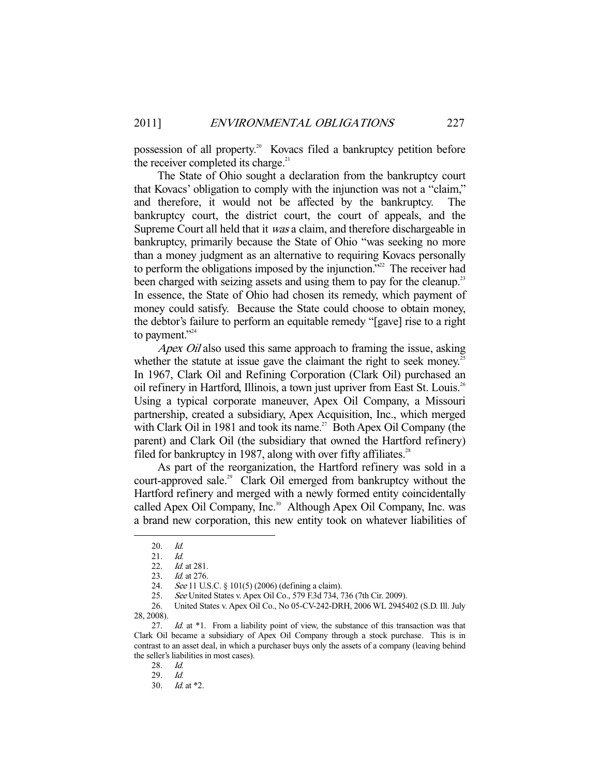possession of all property.<sup>20</sup> Kovacs filed a bankruptcy petition before the receiver completed its charge. $21$ 

 The State of Ohio sought a declaration from the bankruptcy court that Kovacs' obligation to comply with the injunction was not a "claim," and therefore, it would not be affected by the bankruptcy. The bankruptcy court, the district court, the court of appeals, and the Supreme Court all held that it was a claim, and therefore dischargeable in bankruptcy, primarily because the State of Ohio "was seeking no more than a money judgment as an alternative to requiring Kovacs personally to perform the obligations imposed by the injunction."<sup>22</sup> The receiver had been charged with seizing assets and using them to pay for the cleanup.<sup>23</sup> In essence, the State of Ohio had chosen its remedy, which payment of money could satisfy. Because the State could choose to obtain money, the debtor's failure to perform an equitable remedy "[gave] rise to a right to payment."<sup>24</sup>

Apex Oil also used this same approach to framing the issue, asking whether the statute at issue gave the claimant the right to seek money.<sup>25</sup> In 1967, Clark Oil and Refining Corporation (Clark Oil) purchased an oil refinery in Hartford, Illinois, a town just upriver from East St. Louis.<sup>26</sup> Using a typical corporate maneuver, Apex Oil Company, a Missouri partnership, created a subsidiary, Apex Acquisition, Inc., which merged with Clark Oil in 1981 and took its name.<sup>27</sup> Both Apex Oil Company (the parent) and Clark Oil (the subsidiary that owned the Hartford refinery) filed for bankruptcy in 1987, along with over fifty affiliates.<sup>28</sup>

 As part of the reorganization, the Hartford refinery was sold in a court-approved sale.<sup>29</sup> Clark Oil emerged from bankruptcy without the Hartford refinery and merged with a newly formed entity coincidentally called Apex Oil Company, Inc.<sup>30</sup> Although Apex Oil Company, Inc. was a brand new corporation, this new entity took on whatever liabilities of

-

25. See United States v. Apex Oil Co., 579 F.3d 734, 736 (7th Cir. 2009).

 26. United States v. Apex Oil Co., No 05-CV-242-DRH, 2006 WL 2945402 (S.D. Ill. July 28, 2008).

28. Id.

29. Id.

 <sup>20.</sup> Id.

 <sup>21.</sup> Id.

<sup>22.</sup> *Id.* at 281.

<sup>23.</sup> *Id.* at 276.

 <sup>24.</sup> See 11 U.S.C. § 101(5) (2006) (defining a claim).

<sup>27.</sup> Id. at \*1. From a liability point of view, the substance of this transaction was that Clark Oil became a subsidiary of Apex Oil Company through a stock purchase. This is in contrast to an asset deal, in which a purchaser buys only the assets of a company (leaving behind the seller's liabilities in most cases).

 <sup>30.</sup> Id. at \*2.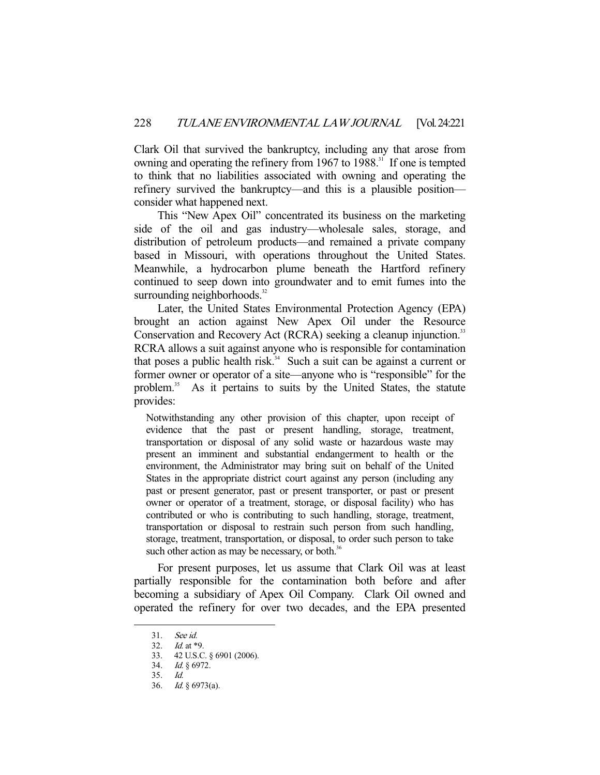Clark Oil that survived the bankruptcy, including any that arose from owning and operating the refinery from 1967 to 1988.<sup>31</sup> If one is tempted to think that no liabilities associated with owning and operating the refinery survived the bankruptcy—and this is a plausible position consider what happened next.

 This "New Apex Oil" concentrated its business on the marketing side of the oil and gas industry—wholesale sales, storage, and distribution of petroleum products—and remained a private company based in Missouri, with operations throughout the United States. Meanwhile, a hydrocarbon plume beneath the Hartford refinery continued to seep down into groundwater and to emit fumes into the surrounding neighborhoods. $32$ 

 Later, the United States Environmental Protection Agency (EPA) brought an action against New Apex Oil under the Resource Conservation and Recovery Act (RCRA) seeking a cleanup injunction.<sup>33</sup> RCRA allows a suit against anyone who is responsible for contamination that poses a public health risk.<sup>34</sup> Such a suit can be against a current or former owner or operator of a site—anyone who is "responsible" for the problem.<sup>35</sup> As it pertains to suits by the United States, the statute As it pertains to suits by the United States, the statute provides:

Notwithstanding any other provision of this chapter, upon receipt of evidence that the past or present handling, storage, treatment, transportation or disposal of any solid waste or hazardous waste may present an imminent and substantial endangerment to health or the environment, the Administrator may bring suit on behalf of the United States in the appropriate district court against any person (including any past or present generator, past or present transporter, or past or present owner or operator of a treatment, storage, or disposal facility) who has contributed or who is contributing to such handling, storage, treatment, transportation or disposal to restrain such person from such handling, storage, treatment, transportation, or disposal, to order such person to take such other action as may be necessary, or both. $36$ 

 For present purposes, let us assume that Clark Oil was at least partially responsible for the contamination both before and after becoming a subsidiary of Apex Oil Company. Clark Oil owned and operated the refinery for over two decades, and the EPA presented

<sup>31.</sup> See id.<br>32. Id. at \*9.

<sup>32.</sup> *Id.* at \*9.

 <sup>33. 42</sup> U.S.C. § 6901 (2006).

<sup>34.</sup> *Id.*  $\frac{1}{9}$  6972.

 <sup>35.</sup> Id.

 <sup>36.</sup> Id. § 6973(a).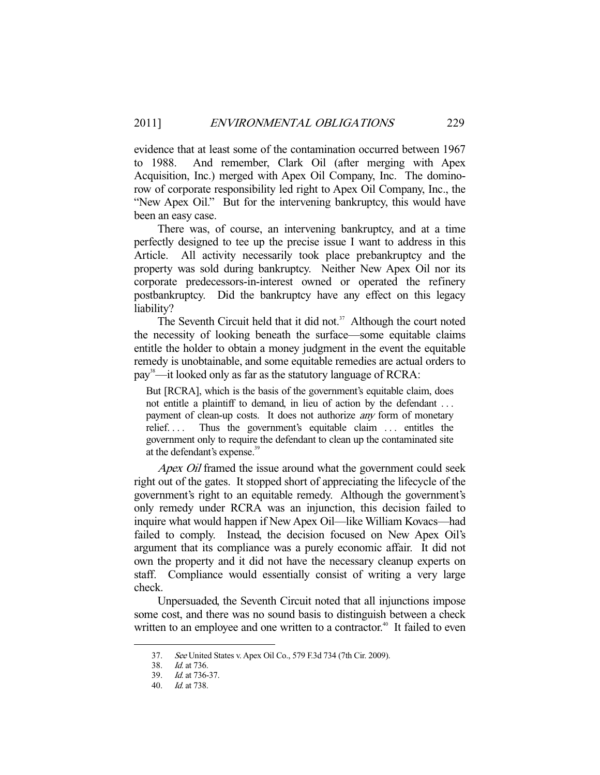evidence that at least some of the contamination occurred between 1967 to 1988. And remember, Clark Oil (after merging with Apex Acquisition, Inc.) merged with Apex Oil Company, Inc. The dominorow of corporate responsibility led right to Apex Oil Company, Inc., the "New Apex Oil." But for the intervening bankruptcy, this would have been an easy case.

 There was, of course, an intervening bankruptcy, and at a time perfectly designed to tee up the precise issue I want to address in this Article. All activity necessarily took place prebankruptcy and the property was sold during bankruptcy. Neither New Apex Oil nor its corporate predecessors-in-interest owned or operated the refinery postbankruptcy. Did the bankruptcy have any effect on this legacy liability?

The Seventh Circuit held that it did not. $37$  Although the court noted the necessity of looking beneath the surface—some equitable claims entitle the holder to obtain a money judgment in the event the equitable remedy is unobtainable, and some equitable remedies are actual orders to  $pay<sup>38</sup>$ —it looked only as far as the statutory language of RCRA:

But [RCRA], which is the basis of the government's equitable claim, does not entitle a plaintiff to demand, in lieu of action by the defendant . . . payment of clean-up costs. It does not authorize *any* form of monetary relief.... Thus the government's equitable claim ... entitles the government only to require the defendant to clean up the contaminated site at the defendant's expense.<sup>39</sup>

Apex Oil framed the issue around what the government could seek right out of the gates. It stopped short of appreciating the lifecycle of the government's right to an equitable remedy. Although the government's only remedy under RCRA was an injunction, this decision failed to inquire what would happen if New Apex Oil—like William Kovacs—had failed to comply. Instead, the decision focused on New Apex Oil's argument that its compliance was a purely economic affair. It did not own the property and it did not have the necessary cleanup experts on staff. Compliance would essentially consist of writing a very large check.

 Unpersuaded, the Seventh Circuit noted that all injunctions impose some cost, and there was no sound basis to distinguish between a check written to an employee and one written to a contractor.<sup>40</sup> It failed to even

 <sup>37.</sup> See United States v. Apex Oil Co., 579 F.3d 734 (7th Cir. 2009).

 <sup>38.</sup> Id. at 736.

 <sup>39.</sup> Id. at 736-37.

 <sup>40.</sup> Id. at 738.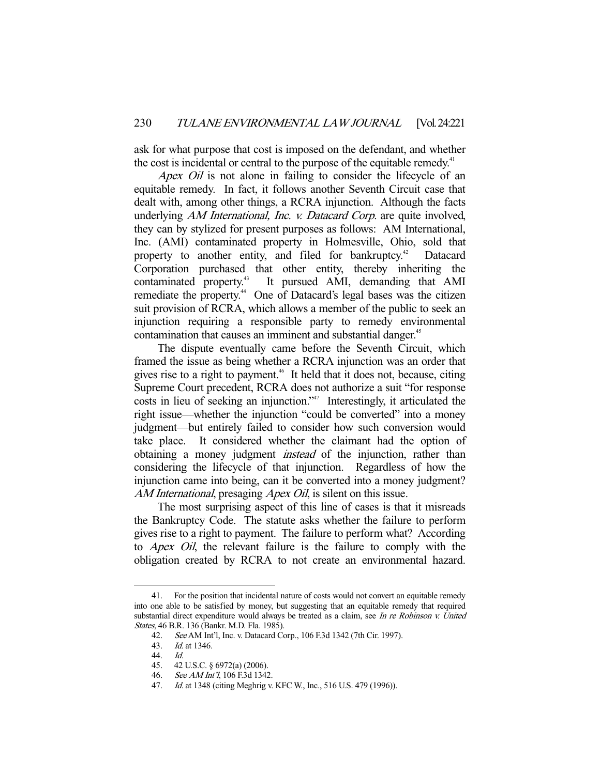ask for what purpose that cost is imposed on the defendant, and whether the cost is incidental or central to the purpose of the equitable remedy.<sup>41</sup>

Apex Oil is not alone in failing to consider the lifecycle of an equitable remedy. In fact, it follows another Seventh Circuit case that dealt with, among other things, a RCRA injunction. Although the facts underlying *AM International, Inc. v. Datacard Corp.* are quite involved, they can by stylized for present purposes as follows: AM International, Inc. (AMI) contaminated property in Holmesville, Ohio, sold that property to another entity, and filed for bankruptcy.<sup>42</sup> Datacard Corporation purchased that other entity, thereby inheriting the contaminated property.43 It pursued AMI, demanding that AMI remediate the property.<sup>44</sup> One of Datacard's legal bases was the citizen suit provision of RCRA, which allows a member of the public to seek an injunction requiring a responsible party to remedy environmental contamination that causes an imminent and substantial danger.<sup>45</sup>

 The dispute eventually came before the Seventh Circuit, which framed the issue as being whether a RCRA injunction was an order that gives rise to a right to payment.<sup>46</sup> It held that it does not, because, citing Supreme Court precedent, RCRA does not authorize a suit "for response costs in lieu of seeking an injunction."47 Interestingly, it articulated the right issue—whether the injunction "could be converted" into a money judgment—but entirely failed to consider how such conversion would take place. It considered whether the claimant had the option of obtaining a money judgment instead of the injunction, rather than considering the lifecycle of that injunction. Regardless of how the injunction came into being, can it be converted into a money judgment? AM International, presaging *Apex Oil*, is silent on this issue.

 The most surprising aspect of this line of cases is that it misreads the Bankruptcy Code. The statute asks whether the failure to perform gives rise to a right to payment. The failure to perform what? According to Apex Oil, the relevant failure is the failure to comply with the obligation created by RCRA to not create an environmental hazard.

 <sup>41.</sup> For the position that incidental nature of costs would not convert an equitable remedy into one able to be satisfied by money, but suggesting that an equitable remedy that required substantial direct expenditure would always be treated as a claim, see In re Robinson  $v$ . United States, 46 B.R. 136 (Bankr. M.D. Fla. 1985).

 <sup>42.</sup> See AM Int'l, Inc. v. Datacard Corp., 106 F.3d 1342 (7th Cir. 1997).

 <sup>43.</sup> Id. at 1346.

 <sup>44.</sup> Id.

 <sup>45. 42</sup> U.S.C. § 6972(a) (2006).

 <sup>46.</sup> See AM Int'l, 106 F.3d 1342.

 <sup>47.</sup> Id. at 1348 (citing Meghrig v. KFC W., Inc., 516 U.S. 479 (1996)).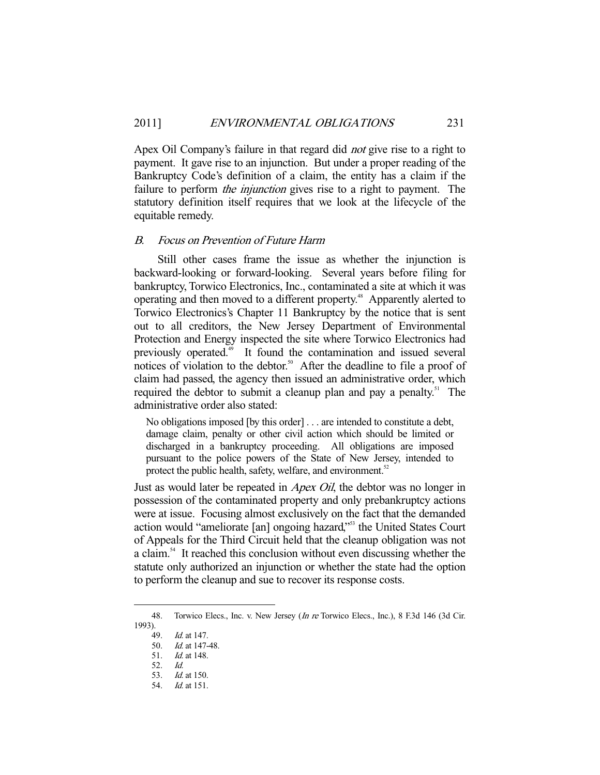Apex Oil Company's failure in that regard did *not* give rise to a right to payment. It gave rise to an injunction. But under a proper reading of the Bankruptcy Code's definition of a claim, the entity has a claim if the failure to perform *the injunction* gives rise to a right to payment. The statutory definition itself requires that we look at the lifecycle of the equitable remedy.

#### B. Focus on Prevention of Future Harm

 Still other cases frame the issue as whether the injunction is backward-looking or forward-looking. Several years before filing for bankruptcy, Torwico Electronics, Inc., contaminated a site at which it was operating and then moved to a different property.48 Apparently alerted to Torwico Electronics's Chapter 11 Bankruptcy by the notice that is sent out to all creditors, the New Jersey Department of Environmental Protection and Energy inspected the site where Torwico Electronics had previously operated.49 It found the contamination and issued several notices of violation to the debtor.<sup>50</sup> After the deadline to file a proof of claim had passed, the agency then issued an administrative order, which required the debtor to submit a cleanup plan and pay a penalty.<sup>51</sup> The administrative order also stated:

No obligations imposed [by this order] . . . are intended to constitute a debt, damage claim, penalty or other civil action which should be limited or discharged in a bankruptcy proceeding. All obligations are imposed pursuant to the police powers of the State of New Jersey, intended to protect the public health, safety, welfare, and environment.<sup>52</sup>

Just as would later be repeated in *Apex Oil*, the debtor was no longer in possession of the contaminated property and only prebankruptcy actions were at issue. Focusing almost exclusively on the fact that the demanded action would "ameliorate [an] ongoing hazard,"53 the United States Court of Appeals for the Third Circuit held that the cleanup obligation was not a claim.<sup>54</sup> It reached this conclusion without even discussing whether the statute only authorized an injunction or whether the state had the option to perform the cleanup and sue to recover its response costs.

<sup>48.</sup> Torwico Elecs., Inc. v. New Jersey (In re Torwico Elecs., Inc.), 8 F.3d 146 (3d Cir. 1993).

 <sup>49.</sup> Id. at 147.

 <sup>50.</sup> Id. at 147-48.

 <sup>51.</sup> Id. at 148.

 <sup>52.</sup> Id.

 <sup>53.</sup> Id. at 150.

 <sup>54.</sup> Id. at 151.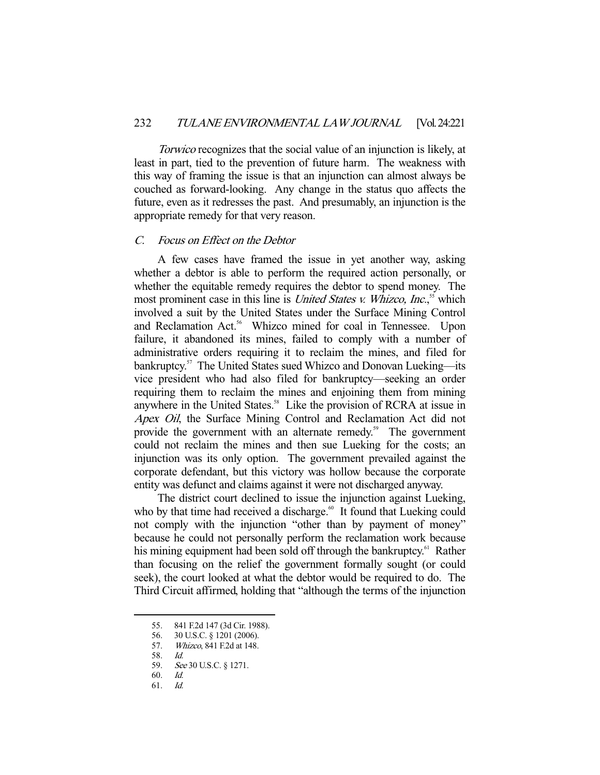Torwico recognizes that the social value of an injunction is likely, at least in part, tied to the prevention of future harm. The weakness with this way of framing the issue is that an injunction can almost always be couched as forward-looking. Any change in the status quo affects the future, even as it redresses the past. And presumably, an injunction is the appropriate remedy for that very reason.

#### C. Focus on Effect on the Debtor

 A few cases have framed the issue in yet another way, asking whether a debtor is able to perform the required action personally, or whether the equitable remedy requires the debtor to spend money. The most prominent case in this line is *United States v. Whizco, Inc.*<sup>55</sup> which involved a suit by the United States under the Surface Mining Control and Reclamation Act.<sup>56</sup> Whizco mined for coal in Tennessee. Upon failure, it abandoned its mines, failed to comply with a number of administrative orders requiring it to reclaim the mines, and filed for bankruptcy.<sup>57</sup> The United States sued Whizco and Donovan Lueking—its vice president who had also filed for bankruptcy—seeking an order requiring them to reclaim the mines and enjoining them from mining anywhere in the United States.<sup>58</sup> Like the provision of RCRA at issue in Apex Oil, the Surface Mining Control and Reclamation Act did not provide the government with an alternate remedy.<sup>59</sup> The government could not reclaim the mines and then sue Lueking for the costs; an injunction was its only option. The government prevailed against the corporate defendant, but this victory was hollow because the corporate entity was defunct and claims against it were not discharged anyway.

 The district court declined to issue the injunction against Lueking, who by that time had received a discharge.<sup>60</sup> It found that Lueking could not comply with the injunction "other than by payment of money" because he could not personally perform the reclamation work because his mining equipment had been sold off through the bankruptcy.<sup>61</sup> Rather than focusing on the relief the government formally sought (or could seek), the court looked at what the debtor would be required to do. The Third Circuit affirmed, holding that "although the terms of the injunction

 <sup>55. 841</sup> F.2d 147 (3d Cir. 1988).

 <sup>56. 30</sup> U.S.C. § 1201 (2006).

 <sup>57.</sup> Whizco, 841 F.2d at 148.

 <sup>58.</sup> Id.

 <sup>59.</sup> See 30 U.S.C. § 1271.

 <sup>60.</sup> Id.

 <sup>61.</sup> Id.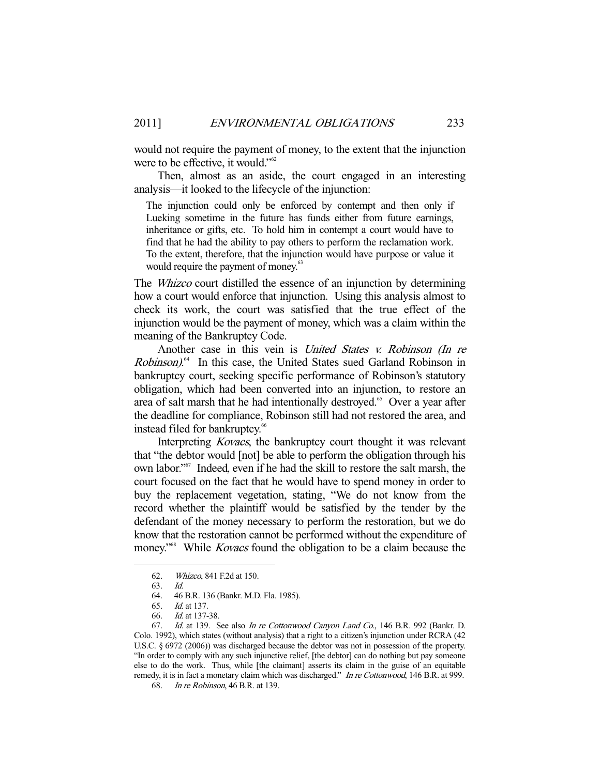would not require the payment of money, to the extent that the injunction were to be effective, it would."<sup>62</sup>

 Then, almost as an aside, the court engaged in an interesting analysis—it looked to the lifecycle of the injunction:

The injunction could only be enforced by contempt and then only if Lueking sometime in the future has funds either from future earnings, inheritance or gifts, etc. To hold him in contempt a court would have to find that he had the ability to pay others to perform the reclamation work. To the extent, therefore, that the injunction would have purpose or value it would require the payment of money.<sup>63</sup>

The *Whizco* court distilled the essence of an injunction by determining how a court would enforce that injunction. Using this analysis almost to check its work, the court was satisfied that the true effect of the injunction would be the payment of money, which was a claim within the meaning of the Bankruptcy Code.

Another case in this vein is United States v. Robinson (In re Robinson).<sup>64</sup> In this case, the United States sued Garland Robinson in bankruptcy court, seeking specific performance of Robinson's statutory obligation, which had been converted into an injunction, to restore an area of salt marsh that he had intentionally destroyed.<sup>65</sup> Over a year after the deadline for compliance, Robinson still had not restored the area, and instead filed for bankruptcy.<sup>66</sup>

Interpreting *Kovacs*, the bankruptcy court thought it was relevant that "the debtor would [not] be able to perform the obligation through his own labor."67 Indeed, even if he had the skill to restore the salt marsh, the court focused on the fact that he would have to spend money in order to buy the replacement vegetation, stating, "We do not know from the record whether the plaintiff would be satisfied by the tender by the defendant of the money necessary to perform the restoration, but we do know that the restoration cannot be performed without the expenditure of money.<sup>368</sup> While *Kovacs* found the obligation to be a claim because the

 <sup>62.</sup> Whizco, 841 F.2d at 150.

 <sup>63.</sup> Id.

<sup>46</sup> B.R. 136 (Bankr. M.D. Fla. 1985).

 <sup>65.</sup> Id. at 137.

 <sup>66.</sup> Id. at 137-38.

 <sup>67.</sup> Id. at 139. See also In re Cottonwood Canyon Land Co., 146 B.R. 992 (Bankr. D. Colo. 1992), which states (without analysis) that a right to a citizen's injunction under RCRA (42 U.S.C. § 6972 (2006)) was discharged because the debtor was not in possession of the property. "In order to comply with any such injunctive relief, [the debtor] can do nothing but pay someone else to do the work. Thus, while [the claimant] asserts its claim in the guise of an equitable remedy, it is in fact a monetary claim which was discharged." In re Cottonwood, 146 B.R. at 999.

 <sup>68.</sup> In re Robinson, 46 B.R. at 139.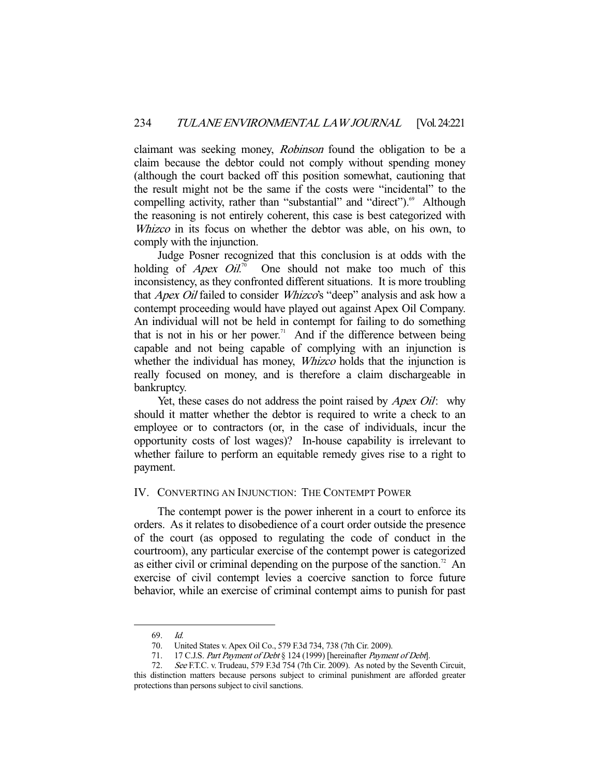claimant was seeking money, Robinson found the obligation to be a claim because the debtor could not comply without spending money (although the court backed off this position somewhat, cautioning that the result might not be the same if the costs were "incidental" to the compelling activity, rather than "substantial" and "direct").<sup>69</sup> Although the reasoning is not entirely coherent, this case is best categorized with Whizco in its focus on whether the debtor was able, on his own, to comply with the injunction.

 Judge Posner recognized that this conclusion is at odds with the holding of *Apex Oil*.<sup>70</sup> 70 One should not make too much of this inconsistency, as they confronted different situations. It is more troubling that Apex Oil failed to consider Whizco's "deep" analysis and ask how a contempt proceeding would have played out against Apex Oil Company. An individual will not be held in contempt for failing to do something that is not in his or her power.<sup>71</sup> And if the difference between being capable and not being capable of complying with an injunction is whether the individual has money, *Whizco* holds that the injunction is really focused on money, and is therefore a claim dischargeable in bankruptcy.

Yet, these cases do not address the point raised by *Apex Oil*: why should it matter whether the debtor is required to write a check to an employee or to contractors (or, in the case of individuals, incur the opportunity costs of lost wages)? In-house capability is irrelevant to whether failure to perform an equitable remedy gives rise to a right to payment.

### IV. CONVERTING AN INJUNCTION: THE CONTEMPT POWER

 The contempt power is the power inherent in a court to enforce its orders. As it relates to disobedience of a court order outside the presence of the court (as opposed to regulating the code of conduct in the courtroom), any particular exercise of the contempt power is categorized as either civil or criminal depending on the purpose of the sanction.<sup>72</sup> An exercise of civil contempt levies a coercive sanction to force future behavior, while an exercise of criminal contempt aims to punish for past

<sup>69.</sup>  $Id.$ <br>70. Un<br>17 United States v. Apex Oil Co., 579 F.3d 734, 738 (7th Cir. 2009).

<sup>71. 17</sup> C.J.S. Part Payment of Debt § 124 (1999) [hereinafter Payment of Debt].

<sup>72.</sup> See F.T.C. v. Trudeau, 579 F.3d 754 (7th Cir. 2009). As noted by the Seventh Circuit, this distinction matters because persons subject to criminal punishment are afforded greater protections than persons subject to civil sanctions.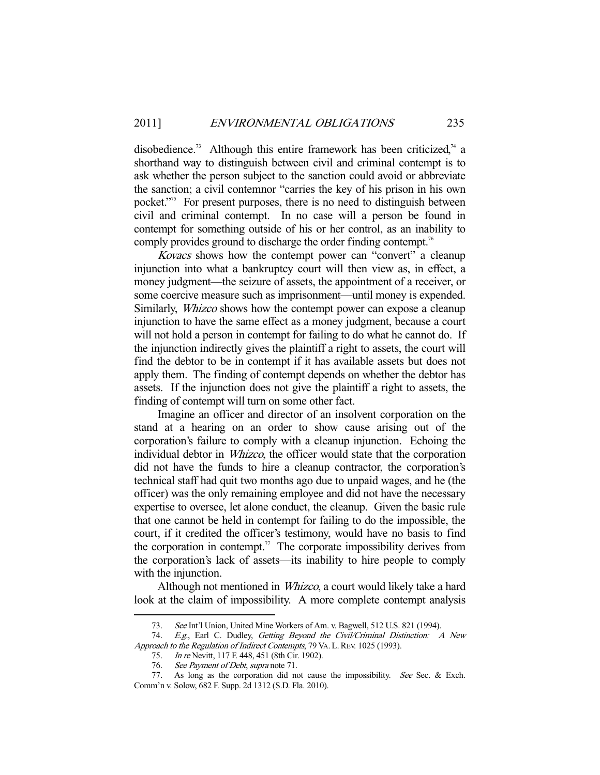disobedience.<sup>73</sup> Although this entire framework has been criticized,<sup>74</sup> a shorthand way to distinguish between civil and criminal contempt is to ask whether the person subject to the sanction could avoid or abbreviate the sanction; a civil contemnor "carries the key of his prison in his own pocket."<sup>35</sup> For present purposes, there is no need to distinguish between civil and criminal contempt. In no case will a person be found in contempt for something outside of his or her control, as an inability to comply provides ground to discharge the order finding contempt.<sup>76</sup>

Kovacs shows how the contempt power can "convert" a cleanup injunction into what a bankruptcy court will then view as, in effect, a money judgment—the seizure of assets, the appointment of a receiver, or some coercive measure such as imprisonment—until money is expended. Similarly, *Whizco* shows how the contempt power can expose a cleanup injunction to have the same effect as a money judgment, because a court will not hold a person in contempt for failing to do what he cannot do. If the injunction indirectly gives the plaintiff a right to assets, the court will find the debtor to be in contempt if it has available assets but does not apply them. The finding of contempt depends on whether the debtor has assets. If the injunction does not give the plaintiff a right to assets, the finding of contempt will turn on some other fact.

 Imagine an officer and director of an insolvent corporation on the stand at a hearing on an order to show cause arising out of the corporation's failure to comply with a cleanup injunction. Echoing the individual debtor in Whizco, the officer would state that the corporation did not have the funds to hire a cleanup contractor, the corporation's technical staff had quit two months ago due to unpaid wages, and he (the officer) was the only remaining employee and did not have the necessary expertise to oversee, let alone conduct, the cleanup. Given the basic rule that one cannot be held in contempt for failing to do the impossible, the court, if it credited the officer's testimony, would have no basis to find the corporation in contempt.<sup>77</sup> The corporate impossibility derives from the corporation's lack of assets—its inability to hire people to comply with the injunction.

 Although not mentioned in Whizco, a court would likely take a hard look at the claim of impossibility. A more complete contempt analysis

<sup>73.</sup> See Int'l Union, United Mine Workers of Am. v. Bagwell, 512 U.S. 821 (1994).

<sup>74.</sup> E.g., Earl C. Dudley, Getting Beyond the Civil/Criminal Distinction: A New Approach to the Regulation of Indirect Contempts, 79 VA. L. REV. 1025 (1993).

 <sup>75.</sup> In re Nevitt, 117 F. 448, 451 (8th Cir. 1902).

<sup>76.</sup> See Payment of Debt, supra note 71.

<sup>77.</sup> As long as the corporation did not cause the impossibility. See Sec. & Exch. Comm'n v. Solow, 682 F. Supp. 2d 1312 (S.D. Fla. 2010).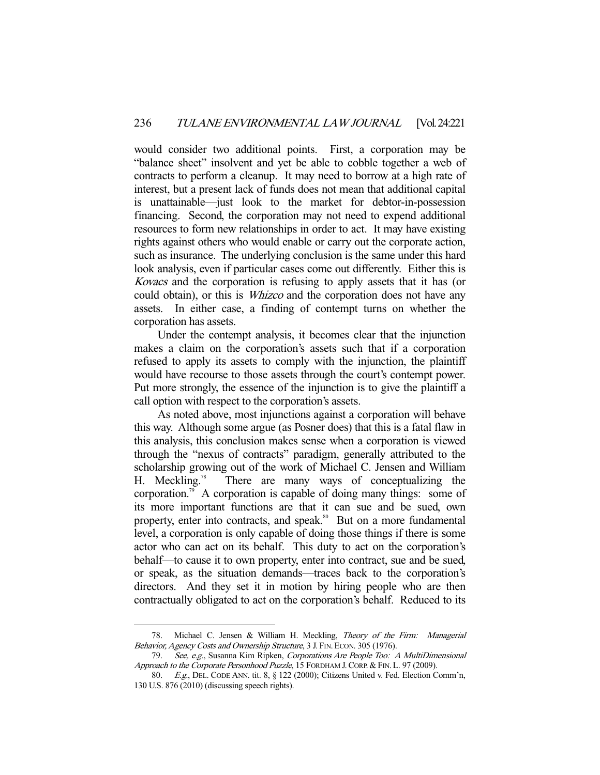would consider two additional points. First, a corporation may be "balance sheet" insolvent and yet be able to cobble together a web of contracts to perform a cleanup. It may need to borrow at a high rate of interest, but a present lack of funds does not mean that additional capital is unattainable—just look to the market for debtor-in-possession financing. Second, the corporation may not need to expend additional resources to form new relationships in order to act. It may have existing rights against others who would enable or carry out the corporate action, such as insurance. The underlying conclusion is the same under this hard look analysis, even if particular cases come out differently. Either this is Kovacs and the corporation is refusing to apply assets that it has (or could obtain), or this is Whizco and the corporation does not have any assets. In either case, a finding of contempt turns on whether the corporation has assets.

 Under the contempt analysis, it becomes clear that the injunction makes a claim on the corporation's assets such that if a corporation refused to apply its assets to comply with the injunction, the plaintiff would have recourse to those assets through the court's contempt power. Put more strongly, the essence of the injunction is to give the plaintiff a call option with respect to the corporation's assets.

 As noted above, most injunctions against a corporation will behave this way. Although some argue (as Posner does) that this is a fatal flaw in this analysis, this conclusion makes sense when a corporation is viewed through the "nexus of contracts" paradigm, generally attributed to the scholarship growing out of the work of Michael C. Jensen and William H. Meckling.<sup>78</sup> There are many ways of conceptualizing the corporation.<sup>79</sup> A corporation is capable of doing many things: some of its more important functions are that it can sue and be sued, own property, enter into contracts, and speak.<sup>80</sup> But on a more fundamental level, a corporation is only capable of doing those things if there is some actor who can act on its behalf. This duty to act on the corporation's behalf—to cause it to own property, enter into contract, sue and be sued, or speak, as the situation demands—traces back to the corporation's directors. And they set it in motion by hiring people who are then contractually obligated to act on the corporation's behalf. Reduced to its

<sup>78.</sup> Michael C. Jensen & William H. Meckling, Theory of the Firm: Managerial Behavior, Agency Costs and Ownership Structure, 3 J. FIN. ECON. 305 (1976).

<sup>79.</sup> See, e.g., Susanna Kim Ripken, Corporations Are People Too: A MultiDimensional Approach to the Corporate Personhood Puzzle, 15 FORDHAM J. CORP. & FIN. L. 97 (2009).

<sup>80.</sup> E.g., DEL. CODE ANN. tit. 8, § 122 (2000); Citizens United v. Fed. Election Comm'n, 130 U.S. 876 (2010) (discussing speech rights).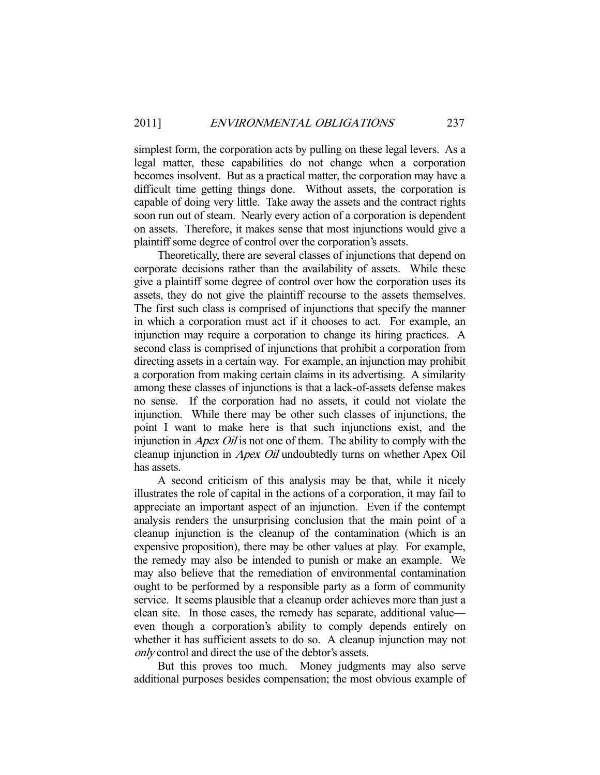simplest form, the corporation acts by pulling on these legal levers. As a legal matter, these capabilities do not change when a corporation becomes insolvent. But as a practical matter, the corporation may have a difficult time getting things done. Without assets, the corporation is capable of doing very little. Take away the assets and the contract rights soon run out of steam. Nearly every action of a corporation is dependent on assets. Therefore, it makes sense that most injunctions would give a plaintiff some degree of control over the corporation's assets.

 Theoretically, there are several classes of injunctions that depend on corporate decisions rather than the availability of assets. While these give a plaintiff some degree of control over how the corporation uses its assets, they do not give the plaintiff recourse to the assets themselves. The first such class is comprised of injunctions that specify the manner in which a corporation must act if it chooses to act. For example, an injunction may require a corporation to change its hiring practices. A second class is comprised of injunctions that prohibit a corporation from directing assets in a certain way. For example, an injunction may prohibit a corporation from making certain claims in its advertising. A similarity among these classes of injunctions is that a lack-of-assets defense makes no sense. If the corporation had no assets, it could not violate the injunction. While there may be other such classes of injunctions, the point I want to make here is that such injunctions exist, and the injunction in *Apex Oil* is not one of them. The ability to comply with the cleanup injunction in Apex Oil undoubtedly turns on whether Apex Oil has assets.

 A second criticism of this analysis may be that, while it nicely illustrates the role of capital in the actions of a corporation, it may fail to appreciate an important aspect of an injunction. Even if the contempt analysis renders the unsurprising conclusion that the main point of a cleanup injunction is the cleanup of the contamination (which is an expensive proposition), there may be other values at play. For example, the remedy may also be intended to punish or make an example. We may also believe that the remediation of environmental contamination ought to be performed by a responsible party as a form of community service. It seems plausible that a cleanup order achieves more than just a clean site. In those cases, the remedy has separate, additional value even though a corporation's ability to comply depends entirely on whether it has sufficient assets to do so. A cleanup injunction may not only control and direct the use of the debtor's assets.

 But this proves too much. Money judgments may also serve additional purposes besides compensation; the most obvious example of